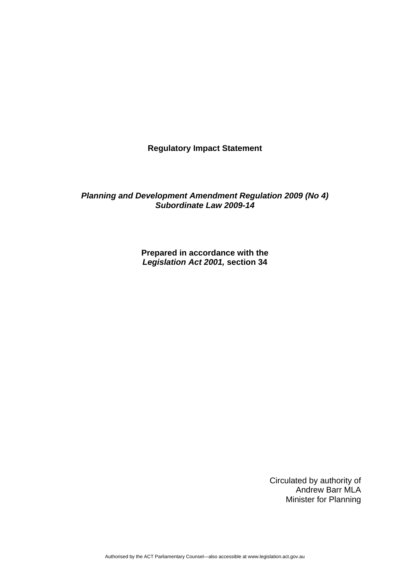**Regulatory Impact Statement** 

*Planning and Development Amendment Regulation 2009 (No 4) Subordinate Law 2009-14* 

> **Prepared in accordance with the**  *Legislation Act 2001,* **section 34**

> > Circulated by authority of Andrew Barr MLA Minister for Planning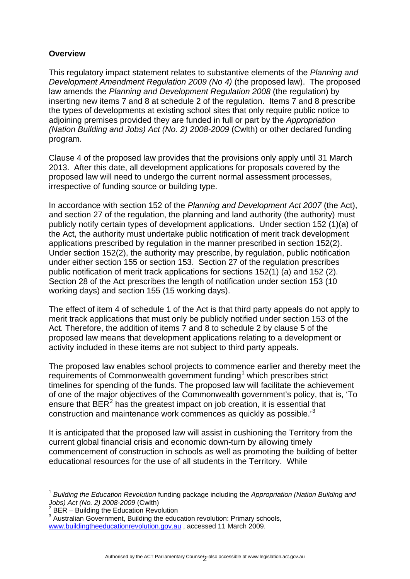# **Overview**

This regulatory impact statement relates to substantive elements of the *Planning and Development Amendment Regulation 2009 (No 4)* (the proposed law). The proposed law amends the *Planning and Development Regulation 2008* (the regulation) by inserting new items 7 and 8 at schedule 2 of the regulation. Items 7 and 8 prescribe the types of developments at existing school sites that only require public notice to adjoining premises provided they are funded in full or part by the *Appropriation (Nation Building and Jobs) Act (No. 2) 2008-2009* (Cwlth) or other declared funding program.

Clause 4 of the proposed law provides that the provisions only apply until 31 March 2013. After this date, all development applications for proposals covered by the proposed law will need to undergo the current normal assessment processes, irrespective of funding source or building type.

In accordance with section 152 of the *Planning and Development Act 2007* (the Act), and section 27 of the regulation, the planning and land authority (the authority) must publicly notify certain types of development applications. Under section 152 (1)(a) of the Act, the authority must undertake public notification of merit track development applications prescribed by regulation in the manner prescribed in section 152(2). Under section 152(2), the authority may prescribe, by regulation, public notification under either section 155 or section 153. Section 27 of the regulation prescribes public notification of merit track applications for sections 152(1) (a) and 152 (2). Section 28 of the Act prescribes the length of notification under section 153 (10 working days) and section 155 (15 working days).

The effect of item 4 of schedule 1 of the Act is that third party appeals do not apply to merit track applications that must only be publicly notified under section 153 of the Act. Therefore, the addition of items 7 and 8 to schedule 2 by clause 5 of the proposed law means that development applications relating to a development or activity included in these items are not subject to third party appeals.

The proposed law enables school projects to commence earlier and thereby meet the requirements of Commonwealth government funding<sup>[1](#page-1-0)</sup> which prescribes strict timelines for spending of the funds. The proposed law will facilitate the achievement of one of the major objectives of the Commonwealth government's policy, that is, 'To ensure that  $BER^2$  $BER^2$  has the greatest impact on job creation, it is essential that construction and maintenance work commences as quickly as possible.'[3](#page-1-2)

It is anticipated that the proposed law will assist in cushioning the Territory from the current global financial crisis and economic down-turn by allowing timely commencement of construction in schools as well as promoting the building of better educational resources for the use of all students in the Territory. While

<span id="page-1-0"></span><sup>1</sup> <sup>1</sup> *Building the Education Revolution* funding package including the *Appropriation (Nation Building and Jobs) Act (No. 2) 2008-2009* (Cwlth) 2

<span id="page-1-1"></span>BER – Building the Education Revolution

<span id="page-1-2"></span><sup>&</sup>lt;sup>3</sup> Australian Government, Building the education revolution: Primary schools,

www.buildingtheeducationrevolution.gov.au , accessed 11 March 2009.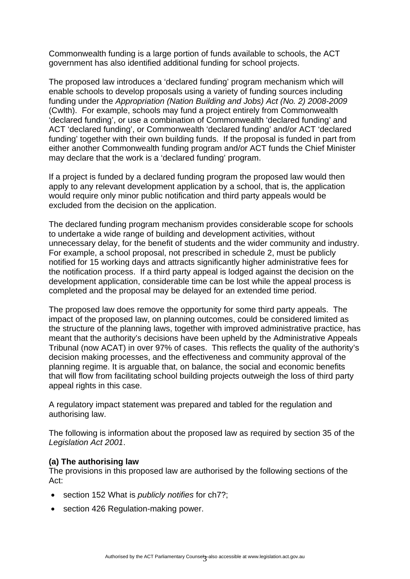Commonwealth funding is a large portion of funds available to schools, the ACT government has also identified additional funding for school projects.

The proposed law introduces a 'declared funding' program mechanism which will enable schools to develop proposals using a variety of funding sources including funding under the *Appropriation (Nation Building and Jobs) Act (No. 2) 2008-2009* (Cwlth). For example, schools may fund a project entirely from Commonwealth 'declared funding', or use a combination of Commonwealth 'declared funding' and ACT 'declared funding', or Commonwealth 'declared funding' and/or ACT 'declared funding' together with their own building funds. If the proposal is funded in part from either another Commonwealth funding program and/or ACT funds the Chief Minister may declare that the work is a 'declared funding' program.

If a project is funded by a declared funding program the proposed law would then apply to any relevant development application by a school, that is, the application would require only minor public notification and third party appeals would be excluded from the decision on the application.

The declared funding program mechanism provides considerable scope for schools to undertake a wide range of building and development activities, without unnecessary delay, for the benefit of students and the wider community and industry. For example, a school proposal, not prescribed in schedule 2, must be publicly notified for 15 working days and attracts significantly higher administrative fees for the notification process. If a third party appeal is lodged against the decision on the development application, considerable time can be lost while the appeal process is completed and the proposal may be delayed for an extended time period.

The proposed law does remove the opportunity for some third party appeals. The impact of the proposed law, on planning outcomes, could be considered limited as the structure of the planning laws, together with improved administrative practice, has meant that the authority's decisions have been upheld by the Administrative Appeals Tribunal (now ACAT) in over 97% of cases. This reflects the quality of the authority's decision making processes, and the effectiveness and community approval of the planning regime. It is arguable that, on balance, the social and economic benefits that will flow from facilitating school building projects outweigh the loss of third party appeal rights in this case.

A regulatory impact statement was prepared and tabled for the regulation and authorising law.

The following is information about the proposed law as required by section 35 of the *Legislation Act 2001*.

#### **(a) The authorising law**

The provisions in this proposed law are authorised by the following sections of the Act:

- section 152 What is *publicly notifies* for ch7?;
- section 426 Regulation-making power.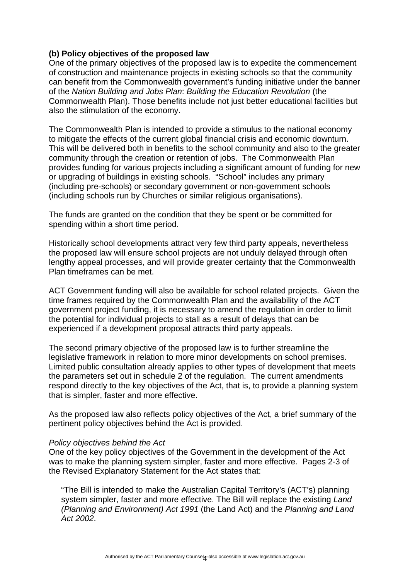# **(b) Policy objectives of the proposed law**

One of the primary objectives of the proposed law is to expedite the commencement of construction and maintenance projects in existing schools so that the community can benefit from the Commonwealth government's funding initiative under the banner of the *Nation Building and Jobs Plan*: *Building the Education Revolution* (the Commonwealth Plan). Those benefits include not just better educational facilities but also the stimulation of the economy.

The Commonwealth Plan is intended to provide a stimulus to the national economy to mitigate the effects of the current global financial crisis and economic downturn. This will be delivered both in benefits to the school community and also to the greater community through the creation or retention of jobs. The Commonwealth Plan provides funding for various projects including a significant amount of funding for new or upgrading of buildings in existing schools. "School" includes any primary (including pre-schools) or secondary government or non-government schools (including schools run by Churches or similar religious organisations).

The funds are granted on the condition that they be spent or be committed for spending within a short time period.

Historically school developments attract very few third party appeals, nevertheless the proposed law will ensure school projects are not unduly delayed through often lengthy appeal processes, and will provide greater certainty that the Commonwealth Plan timeframes can be met.

ACT Government funding will also be available for school related projects. Given the time frames required by the Commonwealth Plan and the availability of the ACT government project funding, it is necessary to amend the regulation in order to limit the potential for individual projects to stall as a result of delays that can be experienced if a development proposal attracts third party appeals.

The second primary objective of the proposed law is to further streamline the legislative framework in relation to more minor developments on school premises. Limited public consultation already applies to other types of development that meets the parameters set out in schedule 2 of the regulation. The current amendments respond directly to the key objectives of the Act, that is, to provide a planning system that is simpler, faster and more effective.

As the proposed law also reflects policy objectives of the Act, a brief summary of the pertinent policy objectives behind the Act is provided.

#### *Policy objectives behind the Act*

One of the key policy objectives of the Government in the development of the Act was to make the planning system simpler, faster and more effective. Pages 2-3 of the Revised Explanatory Statement for the Act states that:

"The Bill is intended to make the Australian Capital Territory's (ACT's) planning system simpler, faster and more effective. The Bill will replace the existing *Land (Planning and Environment) Act 1991* (the Land Act) and the *Planning and Land Act 2002*.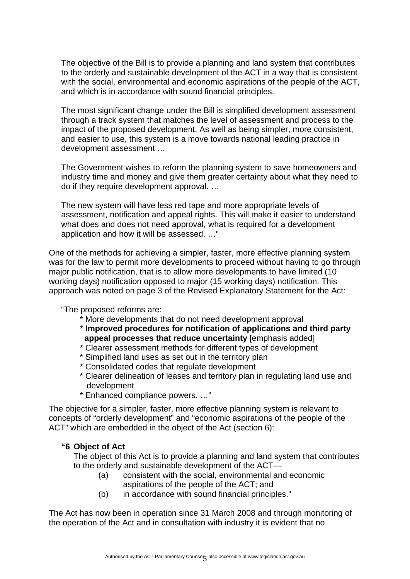The objective of the Bill is to provide a planning and land system that contributes to the orderly and sustainable development of the ACT in a way that is consistent with the social, environmental and economic aspirations of the people of the ACT, and which is in accordance with sound financial principles.

The most significant change under the Bill is simplified development assessment through a track system that matches the level of assessment and process to the impact of the proposed development. As well as being simpler, more consistent, and easier to use, this system is a move towards national leading practice in development assessment …

The Government wishes to reform the planning system to save homeowners and industry time and money and give them greater certainty about what they need to do if they require development approval. …

The new system will have less red tape and more appropriate levels of assessment, notification and appeal rights. This will make it easier to understand what does and does not need approval, what is required for a development application and how it will be assessed. …"

One of the methods for achieving a simpler, faster, more effective planning system was for the law to permit more developments to proceed without having to go through major public notification, that is to allow more developments to have limited (10 working days) notification opposed to major (15 working days) notification. This approach was noted on page 3 of the Revised Explanatory Statement for the Act:

"The proposed reforms are:

- \* More developments that do not need development approval
- \* **Improved procedures for notification of applications and third party appeal processes that reduce uncertainty** [emphasis added]
- \* Clearer assessment methods for different types of development
- \* Simplified land uses as set out in the territory plan
- \* Consolidated codes that regulate development
- \* Clearer delineation of leases and territory plan in regulating land use and development
- \* Enhanced compliance powers. …"

The objective for a simpler, faster, more effective planning system is relevant to concepts of "orderly development" and "economic aspirations of the people of the ACT" which are embedded in the object of the Act (section 6):

# **"6 Object of Act**

The object of this Act is to provide a planning and land system that contributes to the orderly and sustainable development of the ACT—

- (a) consistent with the social, environmental and economic aspirations of the people of the ACT; and
- (b) in accordance with sound financial principles."

The Act has now been in operation since 31 March 2008 and through monitoring of the operation of the Act and in consultation with industry it is evident that no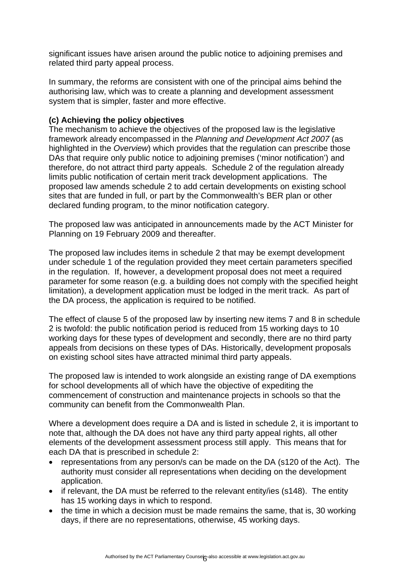significant issues have arisen around the public notice to adjoining premises and related third party appeal process.

In summary, the reforms are consistent with one of the principal aims behind the authorising law, which was to create a planning and development assessment system that is simpler, faster and more effective.

# **(c) Achieving the policy objectives**

The mechanism to achieve the objectives of the proposed law is the legislative framework already encompassed in the *Planning and Development Act 2007* (as highlighted in the *Overview*) which provides that the regulation can prescribe those DAs that require only public notice to adjoining premises ('minor notification') and therefore, do not attract third party appeals. Schedule 2 of the regulation already limits public notification of certain merit track development applications. The proposed law amends schedule 2 to add certain developments on existing school sites that are funded in full, or part by the Commonwealth's BER plan or other declared funding program, to the minor notification category.

The proposed law was anticipated in announcements made by the ACT Minister for Planning on 19 February 2009 and thereafter.

The proposed law includes items in schedule 2 that may be exempt development under schedule 1 of the regulation provided they meet certain parameters specified in the regulation. If, however, a development proposal does not meet a required parameter for some reason (e.g. a building does not comply with the specified height limitation), a development application must be lodged in the merit track. As part of the DA process, the application is required to be notified.

The effect of clause 5 of the proposed law by inserting new items 7 and 8 in schedule 2 is twofold: the public notification period is reduced from 15 working days to 10 working days for these types of development and secondly, there are no third party appeals from decisions on these types of DAs. Historically, development proposals on existing school sites have attracted minimal third party appeals.

The proposed law is intended to work alongside an existing range of DA exemptions for school developments all of which have the objective of expediting the commencement of construction and maintenance projects in schools so that the community can benefit from the Commonwealth Plan.

Where a development does require a DA and is listed in schedule 2, it is important to note that, although the DA does not have any third party appeal rights, all other elements of the development assessment process still apply. This means that for each DA that is prescribed in schedule 2:

- representations from any person/s can be made on the DA (s120 of the Act). The authority must consider all representations when deciding on the development application.
- if relevant, the DA must be referred to the relevant entity/ies (s148). The entity has 15 working days in which to respond.
- the time in which a decision must be made remains the same, that is, 30 working days, if there are no representations, otherwise, 45 working days.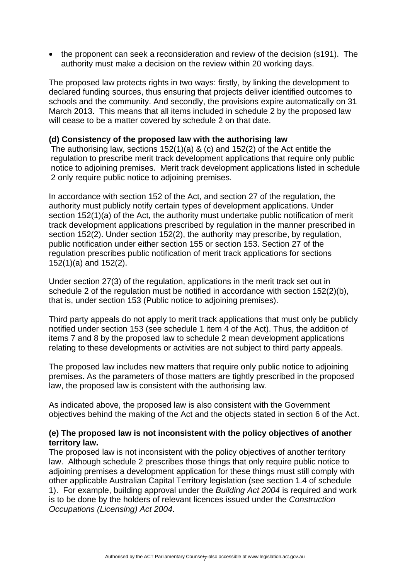• the proponent can seek a reconsideration and review of the decision (s191). The authority must make a decision on the review within 20 working days.

The proposed law protects rights in two ways: firstly, by linking the development to declared funding sources, thus ensuring that projects deliver identified outcomes to schools and the community. And secondly, the provisions expire automatically on 31 March 2013. This means that all items included in schedule 2 by the proposed law will cease to be a matter covered by schedule 2 on that date.

### **(d) Consistency of the proposed law with the authorising law**

The authorising law, sections 152(1)(a) & (c) and 152(2) of the Act entitle the regulation to prescribe merit track development applications that require only public notice to adjoining premises. Merit track development applications listed in schedule 2 only require public notice to adjoining premises.

In accordance with section 152 of the Act, and section 27 of the regulation, the authority must publicly notify certain types of development applications. Under section 152(1)(a) of the Act, the authority must undertake public notification of merit track development applications prescribed by regulation in the manner prescribed in section 152(2). Under section 152(2), the authority may prescribe, by regulation, public notification under either section 155 or section 153. Section 27 of the regulation prescribes public notification of merit track applications for sections 152(1)(a) and 152(2).

Under section 27(3) of the regulation, applications in the merit track set out in schedule 2 of the regulation must be notified in accordance with section 152(2)(b), that is, under section 153 (Public notice to adjoining premises).

Third party appeals do not apply to merit track applications that must only be publicly notified under section 153 (see schedule 1 item 4 of the Act). Thus, the addition of items 7 and 8 by the proposed law to schedule 2 mean development applications relating to these developments or activities are not subject to third party appeals.

The proposed law includes new matters that require only public notice to adjoining premises. As the parameters of those matters are tightly prescribed in the proposed law, the proposed law is consistent with the authorising law.

As indicated above, the proposed law is also consistent with the Government objectives behind the making of the Act and the objects stated in section 6 of the Act.

# **(e) The proposed law is not inconsistent with the policy objectives of another territory law.**

The proposed law is not inconsistent with the policy objectives of another territory law. Although schedule 2 prescribes those things that only require public notice to adjoining premises a development application for these things must still comply with other applicable Australian Capital Territory legislation (see section 1.4 of schedule 1). For example, building approval under the *Building Act 2004* is required and work is to be done by the holders of relevant licences issued under the *Construction Occupations (Licensing) Act 2004*.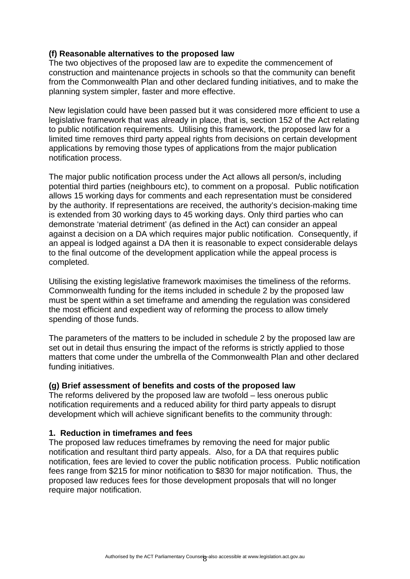# **(f) Reasonable alternatives to the proposed law**

The two objectives of the proposed law are to expedite the commencement of construction and maintenance projects in schools so that the community can benefit from the Commonwealth Plan and other declared funding initiatives, and to make the planning system simpler, faster and more effective.

New legislation could have been passed but it was considered more efficient to use a legislative framework that was already in place, that is, section 152 of the Act relating to public notification requirements. Utilising this framework, the proposed law for a limited time removes third party appeal rights from decisions on certain development applications by removing those types of applications from the major publication notification process.

The major public notification process under the Act allows all person/s, including potential third parties (neighbours etc), to comment on a proposal. Public notification allows 15 working days for comments and each representation must be considered by the authority. If representations are received, the authority's decision-making time is extended from 30 working days to 45 working days. Only third parties who can demonstrate 'material detriment' (as defined in the Act) can consider an appeal against a decision on a DA which requires major public notification. Consequently, if an appeal is lodged against a DA then it is reasonable to expect considerable delays to the final outcome of the development application while the appeal process is completed.

Utilising the existing legislative framework maximises the timeliness of the reforms. Commonwealth funding for the items included in schedule 2 by the proposed law must be spent within a set timeframe and amending the regulation was considered the most efficient and expedient way of reforming the process to allow timely spending of those funds.

The parameters of the matters to be included in schedule 2 by the proposed law are set out in detail thus ensuring the impact of the reforms is strictly applied to those matters that come under the umbrella of the Commonwealth Plan and other declared funding initiatives.

# **(g) Brief assessment of benefits and costs of the proposed law**

The reforms delivered by the proposed law are twofold – less onerous public notification requirements and a reduced ability for third party appeals to disrupt development which will achieve significant benefits to the community through:

# **1. Reduction in timeframes and fees**

The proposed law reduces timeframes by removing the need for major public notification and resultant third party appeals. Also, for a DA that requires public notification, fees are levied to cover the public notification process. Public notification fees range from \$215 for minor notification to \$830 for major notification. Thus, the proposed law reduces fees for those development proposals that will no longer require major notification.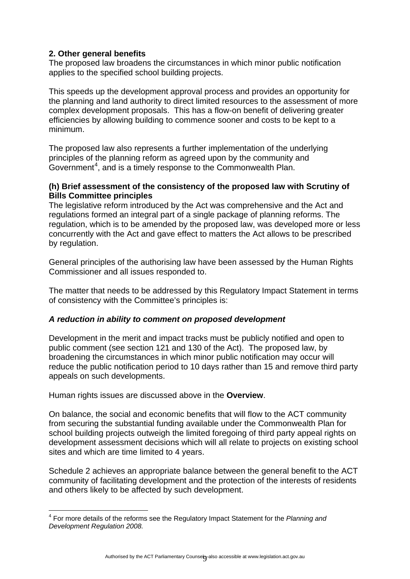# **2. Other general benefits**

The proposed law broadens the circumstances in which minor public notification applies to the specified school building projects.

This speeds up the development approval process and provides an opportunity for the planning and land authority to direct limited resources to the assessment of more complex development proposals. This has a flow-on benefit of delivering greater efficiencies by allowing building to commence sooner and costs to be kept to a minimum.

The proposed law also represents a further implementation of the underlying principles of the planning reform as agreed upon by the community and Government<sup>[4](#page-8-0)</sup>, and is a timely response to the Commonwealth Plan.

### **(h) Brief assessment of the consistency of the proposed law with Scrutiny of Bills Committee principles**

The legislative reform introduced by the Act was comprehensive and the Act and regulations formed an integral part of a single package of planning reforms. The regulation, which is to be amended by the proposed law, was developed more or less concurrently with the Act and gave effect to matters the Act allows to be prescribed by regulation.

General principles of the authorising law have been assessed by the Human Rights Commissioner and all issues responded to.

The matter that needs to be addressed by this Regulatory Impact Statement in terms of consistency with the Committee's principles is:

# *A reduction in ability to comment on proposed development*

Development in the merit and impact tracks must be publicly notified and open to public comment (see section 121 and 130 of the Act). The proposed law, by broadening the circumstances in which minor public notification may occur will reduce the public notification period to 10 days rather than 15 and remove third party appeals on such developments.

Human rights issues are discussed above in the **Overview**.

On balance, the social and economic benefits that will flow to the ACT community from securing the substantial funding available under the Commonwealth Plan for school building projects outweigh the limited foregoing of third party appeal rights on development assessment decisions which will all relate to projects on existing school sites and which are time limited to 4 years.

Schedule 2 achieves an appropriate balance between the general benefit to the ACT community of facilitating development and the protection of the interests of residents and others likely to be affected by such development.

<span id="page-8-0"></span> 4 For more details of the reforms see the Regulatory Impact Statement for the *Planning and Development Regulation 2008.*